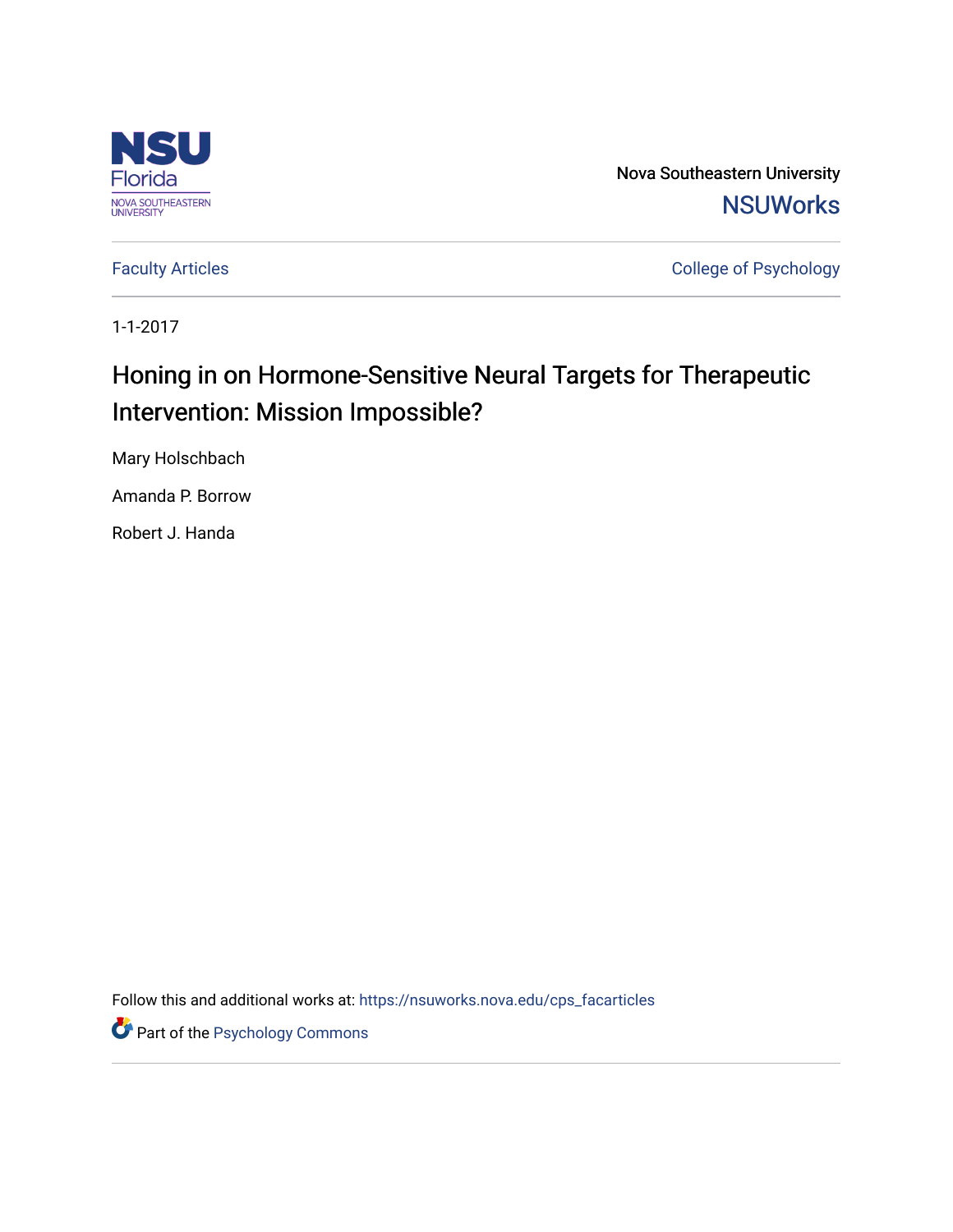

Nova Southeastern University **NSUWorks** 

[Faculty Articles](https://nsuworks.nova.edu/cps_facarticles) **College of Psychology** 

1-1-2017

# Honing in on Hormone-Sensitive Neural Targets for Therapeutic Intervention: Mission Impossible?

Mary Holschbach

Amanda P. Borrow

Robert J. Handa

Follow this and additional works at: [https://nsuworks.nova.edu/cps\\_facarticles](https://nsuworks.nova.edu/cps_facarticles?utm_source=nsuworks.nova.edu%2Fcps_facarticles%2F1836&utm_medium=PDF&utm_campaign=PDFCoverPages) 

Part of the [Psychology Commons](http://network.bepress.com/hgg/discipline/404?utm_source=nsuworks.nova.edu%2Fcps_facarticles%2F1836&utm_medium=PDF&utm_campaign=PDFCoverPages)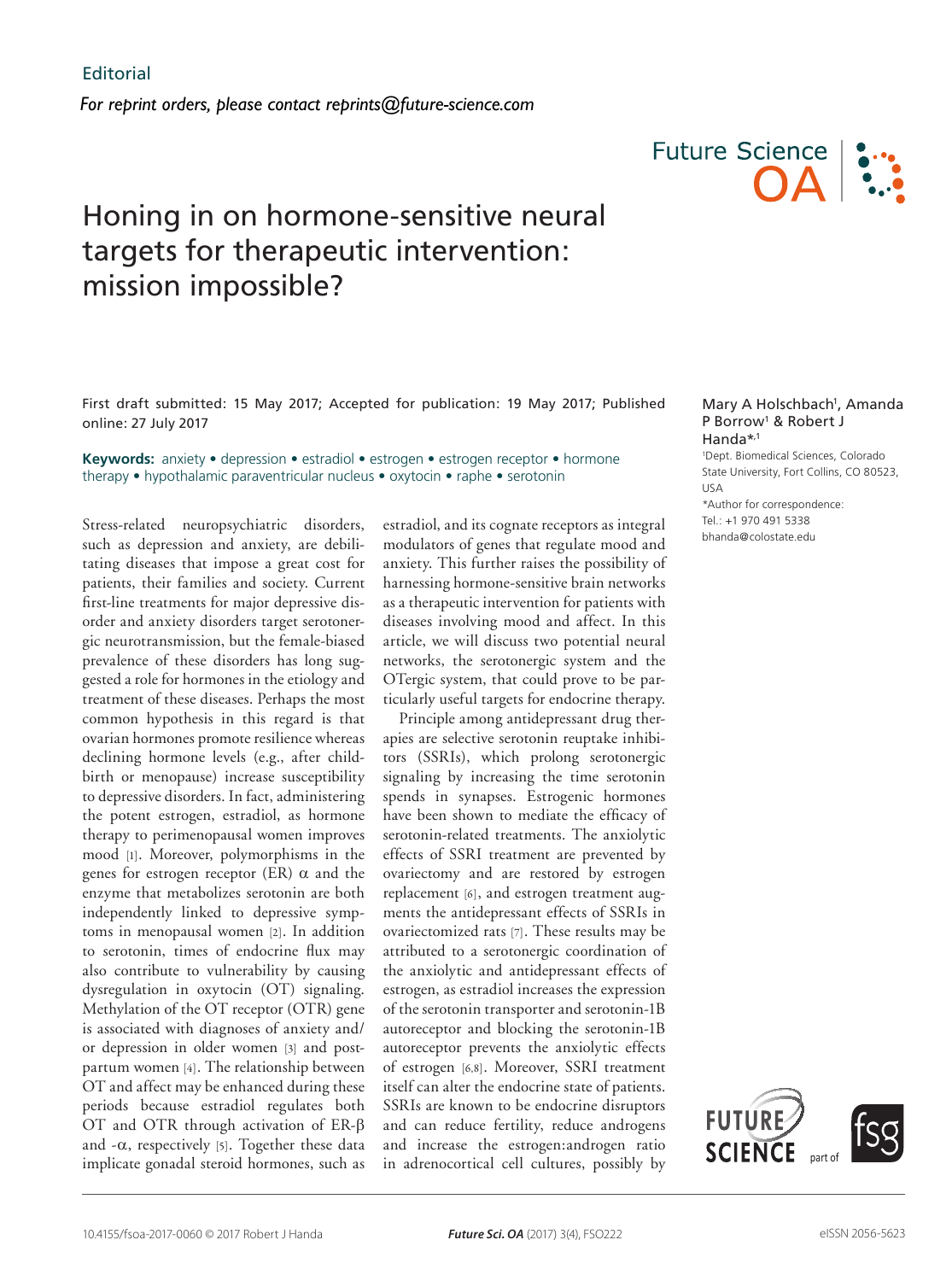# Honing in on hormone-sensitive neural targets for therapeutic intervention: mission impossible?



First draft submitted: 15 May 2017; Accepted for publication: 19 May 2017; Published online: 27 July 2017

**Keywords:** anxiety • depression • estradiol • estrogen • estrogen receptor • hormone therapy • hypothalamic paraventricular nucleus • oxytocin • raphe • serotonin

Stress-related neuropsychiatric disorders, such as depression and anxiety, are debilitating diseases that impose a great cost for patients, their families and society. Current first-line treatments for major depressive disorder and anxiety disorders target serotonergic neurotransmission, but the female-biased prevalence of these disorders has long suggested a role for hormones in the etiology and treatment of these diseases. Perhaps the most common hypothesis in this regard is that ovarian hormones promote resilience whereas declining hormone levels (e.g., after childbirth or menopause) increase susceptibility to depressive disorders. In fact, administering the potent estrogen, estradiol, as hormone therapy to perimenopausal women improves mood [1]. Moreover, polymorphisms in the genes for estrogen receptor (ER)  $\alpha$  and the enzyme that metabolizes serotonin are both independently linked to depressive symptoms in menopausal women [2]. In addition to serotonin, times of endocrine flux may also contribute to vulnerability by causing dysregulation in oxytocin (OT) signaling. Methylation of the OT receptor (OTR) gene is associated with diagnoses of anxiety and/ or depression in older women [3] and postpartum women [4]. The relationship between OT and affect may be enhanced during these periods because estradiol regulates both OT and OTR through activation of ER-β and  $-\alpha$ , respectively [5]. Together these data implicate gonadal steroid hormones, such as estradiol, and its cognate receptors as integral modulators of genes that regulate mood and anxiety. This further raises the possibility of harnessing hormone-sensitive brain networks as a therapeutic intervention for patients with diseases involving mood and affect. In this article, we will discuss two potential neural networks, the serotonergic system and the OTergic system, that could prove to be particularly useful targets for endocrine therapy.

Principle among antidepressant drug therapies are selective serotonin reuptake inhibitors (SSRIs), which prolong serotonergic signaling by increasing the time serotonin spends in synapses. Estrogenic hormones have been shown to mediate the efficacy of serotonin-related treatments. The anxiolytic effects of SSRI treatment are prevented by ovariectomy and are restored by estrogen replacement [6], and estrogen treatment augments the antidepressant effects of SSRIs in ovariectomized rats [7]. These results may be attributed to a serotonergic coordination of the anxiolytic and antidepressant effects of estrogen, as estradiol increases the expression of the serotonin transporter and serotonin-1B autoreceptor and blocking the serotonin-1B autoreceptor prevents the anxiolytic effects of estrogen [6,8]. Moreover, SSRI treatment itself can alter the endocrine state of patients. SSRIs are known to be endocrine disruptors and can reduce fertility, reduce androgens and increase the estrogen:androgen ratio in adrenocortical cell cultures, possibly by

#### Mary A Holschbach<sup>1</sup>, Amanda P Borrow1 & Robert J Handa\*,1

1 Dept. Biomedical Sciences, Colorado State University, Fort Collins, CO 80523, USA \*Author for correspondence: Tel.: +1 970 491 5338 bhanda@colostate.edu

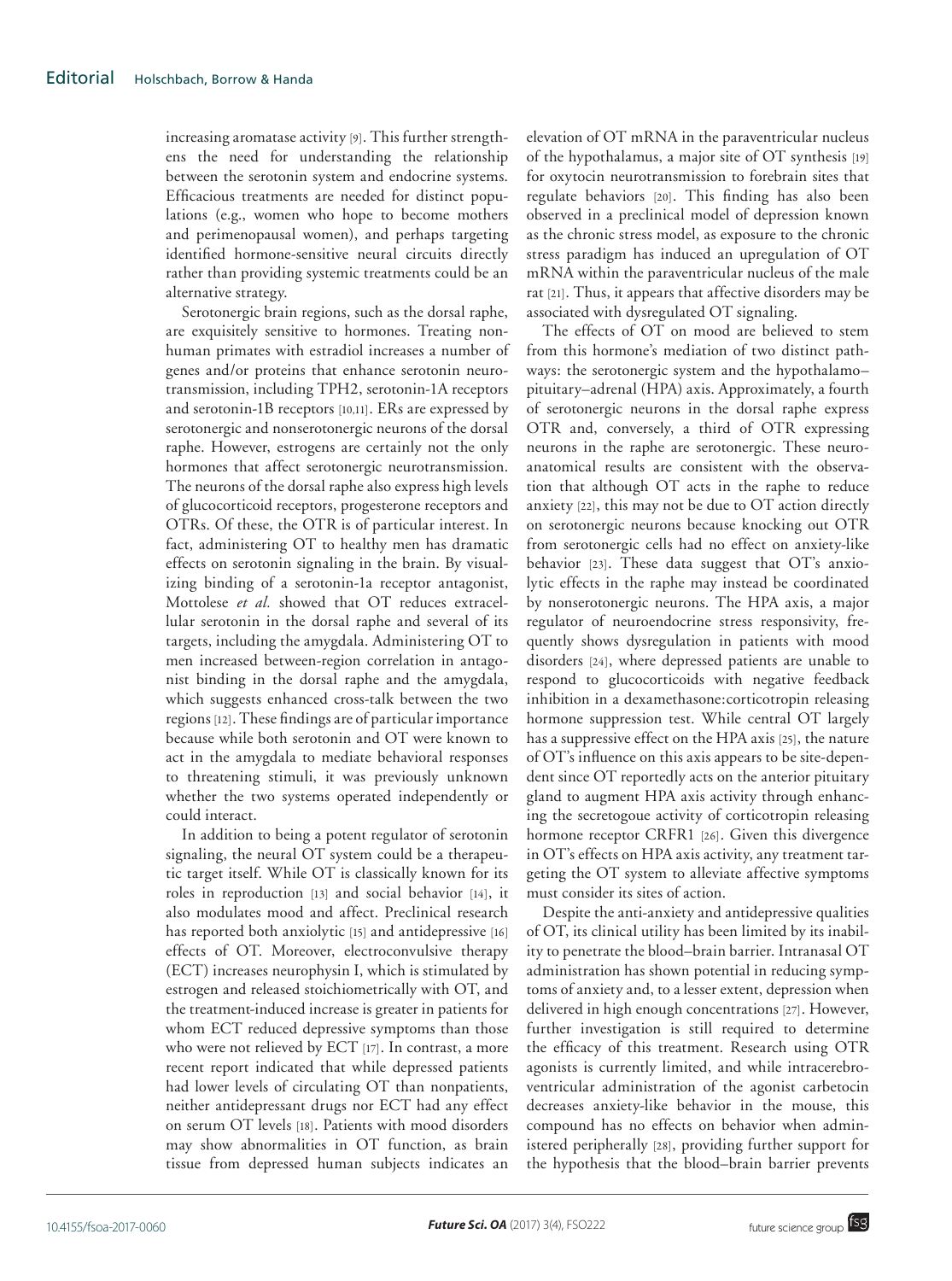increasing aromatase activity [9]. This further strengthens the need for understanding the relationship between the serotonin system and endocrine systems. Efficacious treatments are needed for distinct populations (e.g., women who hope to become mothers and perimenopausal women), and perhaps targeting identified hormone-sensitive neural circuits directly rather than providing systemic treatments could be an alternative strategy.

Serotonergic brain regions, such as the dorsal raphe, are exquisitely sensitive to hormones. Treating nonhuman primates with estradiol increases a number of genes and/or proteins that enhance serotonin neurotransmission, including TPH2, serotonin-1A receptors and serotonin-1B receptors [10,11]. ERs are expressed by serotonergic and nonserotonergic neurons of the dorsal raphe. However, estrogens are certainly not the only hormones that affect serotonergic neurotransmission. The neurons of the dorsal raphe also express high levels of glucocorticoid receptors, progesterone receptors and OTRs. Of these, the OTR is of particular interest. In fact, administering OT to healthy men has dramatic effects on serotonin signaling in the brain. By visualizing binding of a serotonin-1a receptor antagonist, Mottolese *et al.* showed that OT reduces extracellular serotonin in the dorsal raphe and several of its targets, including the amygdala. Administering OT to men increased between-region correlation in antagonist binding in the dorsal raphe and the amygdala, which suggests enhanced cross-talk between the two regions [12]. These findings are of particular importance because while both serotonin and OT were known to act in the amygdala to mediate behavioral responses to threatening stimuli, it was previously unknown whether the two systems operated independently or could interact.

In addition to being a potent regulator of serotonin signaling, the neural OT system could be a therapeutic target itself. While OT is classically known for its roles in reproduction [13] and social behavior [14], it also modulates mood and affect. Preclinical research has reported both anxiolytic [15] and antidepressive [16] effects of OT. Moreover, electroconvulsive therapy (ECT) increases neurophysin I, which is stimulated by estrogen and released stoichiometrically with OT, and the treatment-induced increase is greater in patients for whom ECT reduced depressive symptoms than those who were not relieved by ECT [17]. In contrast, a more recent report indicated that while depressed patients had lower levels of circulating OT than nonpatients, neither antidepressant drugs nor ECT had any effect on serum OT levels [18]. Patients with mood disorders may show abnormalities in OT function, as brain tissue from depressed human subjects indicates an

elevation of OT mRNA in the paraventricular nucleus of the hypothalamus, a major site of OT synthesis [19] for oxytocin neurotransmission to forebrain sites that regulate behaviors [20]. This finding has also been observed in a preclinical model of depression known as the chronic stress model, as exposure to the chronic stress paradigm has induced an upregulation of OT mRNA within the paraventricular nucleus of the male rat [21]. Thus, it appears that affective disorders may be associated with dysregulated OT signaling.

The effects of OT on mood are believed to stem from this hormone's mediation of two distinct pathways: the serotonergic system and the hypothalamo– pituitary–adrenal (HPA) axis. Approximately, a fourth of serotonergic neurons in the dorsal raphe express OTR and, conversely, a third of OTR expressing neurons in the raphe are serotonergic. These neuroanatomical results are consistent with the observation that although OT acts in the raphe to reduce anxiety [22], this may not be due to OT action directly on serotonergic neurons because knocking out OTR from serotonergic cells had no effect on anxiety-like behavior [23]. These data suggest that OT's anxiolytic effects in the raphe may instead be coordinated by nonserotonergic neurons. The HPA axis, a major regulator of neuroendocrine stress responsivity, frequently shows dysregulation in patients with mood disorders [24], where depressed patients are unable to respond to glucocorticoids with negative feedback inhibition in a dexamethasone:corticotropin releasing hormone suppression test. While central OT largely has a suppressive effect on the HPA axis [25], the nature of OT's influence on this axis appears to be site-dependent since OT reportedly acts on the anterior pituitary gland to augment HPA axis activity through enhancing the secretogoue activity of corticotropin releasing hormone receptor CRFR1 [26]. Given this divergence in OT's effects on HPA axis activity, any treatment targeting the OT system to alleviate affective symptoms must consider its sites of action.

Despite the anti-anxiety and antidepressive qualities of OT, its clinical utility has been limited by its inability to penetrate the blood–brain barrier. Intranasal OT administration has shown potential in reducing symptoms of anxiety and, to a lesser extent, depression when delivered in high enough concentrations [27]. However, further investigation is still required to determine the efficacy of this treatment. Research using OTR agonists is currently limited, and while intracerebroventricular administration of the agonist carbetocin decreases anxiety-like behavior in the mouse, this compound has no effects on behavior when administered peripherally [28], providing further support for the hypothesis that the blood–brain barrier prevents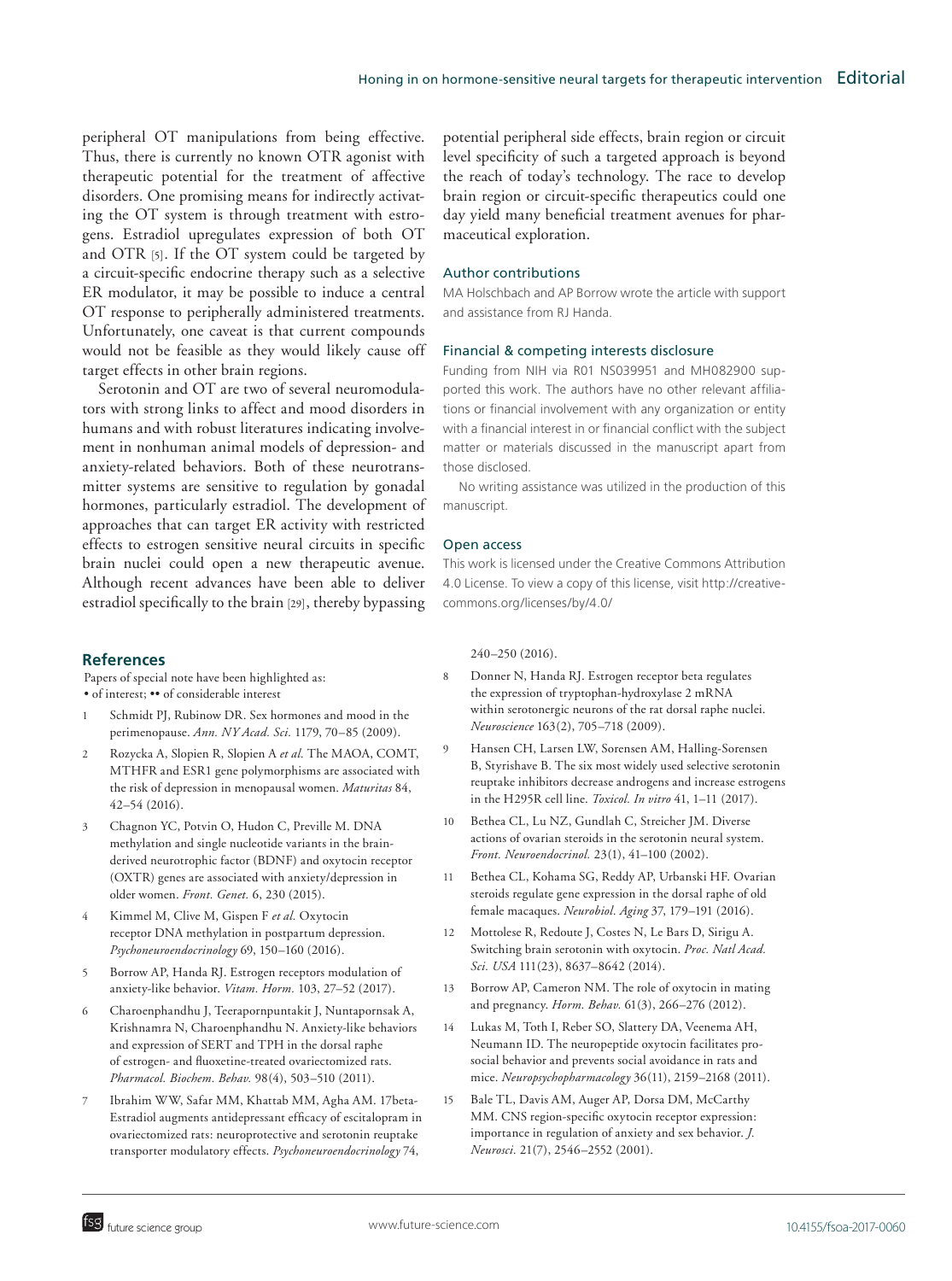peripheral OT manipulations from being effective. Thus, there is currently no known OTR agonist with therapeutic potential for the treatment of affective disorders. One promising means for indirectly activating the OT system is through treatment with estrogens. Estradiol upregulates expression of both OT and OTR [5]. If the OT system could be targeted by a circuit-specific endocrine therapy such as a selective ER modulator, it may be possible to induce a central OT response to peripherally administered treatments. Unfortunately, one caveat is that current compounds would not be feasible as they would likely cause off target effects in other brain regions.

Serotonin and OT are two of several neuromodulators with strong links to affect and mood disorders in humans and with robust literatures indicating involvement in nonhuman animal models of depression- and anxiety-related behaviors. Both of these neurotransmitter systems are sensitive to regulation by gonadal hormones, particularly estradiol. The development of approaches that can target ER activity with restricted effects to estrogen sensitive neural circuits in specific brain nuclei could open a new therapeutic avenue. Although recent advances have been able to deliver estradiol specifically to the brain [29], thereby bypassing

## **References**

Papers of special note have been highlighted as: • of interest; •• of considerable interest

- Schmidt PJ, Rubinow DR. Sex hormones and mood in the perimenopause. *Ann. NY Acad. Sci.* 1179, 70–85 (2009).
- 2 Rozycka A, Slopien R, Slopien A *et al.* The MAOA, COMT, MTHFR and ESR1 gene polymorphisms are associated with the risk of depression in menopausal women. *Maturitas* 84, 42–54 (2016).
- 3 Chagnon YC, Potvin O, Hudon C, Preville M. DNA methylation and single nucleotide variants in the brainderived neurotrophic factor (BDNF) and oxytocin receptor (OXTR) genes are associated with anxiety/depression in older women. *Front. Genet.* 6, 230 (2015).
- 4 Kimmel M, Clive M, Gispen F *et al.* Oxytocin receptor DNA methylation in postpartum depression. *Psychoneuroendocrinology* 69, 150–160 (2016).
- 5 Borrow AP, Handa RJ. Estrogen receptors modulation of anxiety-like behavior. *Vitam. Horm.* 103, 27–52 (2017).
- 6 Charoenphandhu J, Teerapornpuntakit J, Nuntapornsak A, Krishnamra N, Charoenphandhu N. Anxiety-like behaviors and expression of SERT and TPH in the dorsal raphe of estrogen- and fluoxetine-treated ovariectomized rats. *Pharmacol. Biochem. Behav.* 98(4), 503–510 (2011).
- 7 Ibrahim WW, Safar MM, Khattab MM, Agha AM. 17beta-Estradiol augments antidepressant efficacy of escitalopram in ovariectomized rats: neuroprotective and serotonin reuptake transporter modulatory effects. *Psychoneuroendocrinology* 74,

potential peripheral side effects, brain region or circuit level specificity of such a targeted approach is beyond the reach of today's technology. The race to develop brain region or circuit-specific therapeutics could one day yield many beneficial treatment avenues for pharmaceutical exploration.

### Author contributions

MA Holschbach and AP Borrow wrote the article with support and assistance from RJ Handa.

#### Financial & competing interests disclosure

Funding from NIH via R01 NS039951 and MH082900 supported this work. The authors have no other relevant affiliations or financial involvement with any organization or entity with a financial interest in or financial conflict with the subject matter or materials discussed in the manuscript apart from those disclosed.

No writing assistance was utilized in the production of this manuscript.

### Open access

This work is licensed under the Creative Commons Attribution 4.0 License. To view a copy of this license, visit http://creativecommons.org/licenses/by/4.0/

240–250 (2016).

- 8 Donner N, Handa RJ. Estrogen receptor beta regulates the expression of tryptophan-hydroxylase 2 mRNA within serotonergic neurons of the rat dorsal raphe nuclei. *Neuroscience* 163(2), 705–718 (2009).
- 9 Hansen CH, Larsen LW, Sorensen AM, Halling-Sorensen B, Styrishave B. The six most widely used selective serotonin reuptake inhibitors decrease androgens and increase estrogens in the H295R cell line. *Toxicol. In vitro* 41, 1–11 (2017).
- 10 Bethea CL, Lu NZ, Gundlah C, Streicher JM. Diverse actions of ovarian steroids in the serotonin neural system. *Front. Neuroendocrinol.* 23(1), 41–100 (2002).
- 11 Bethea CL, Kohama SG, Reddy AP, Urbanski HF. Ovarian steroids regulate gene expression in the dorsal raphe of old female macaques. *Neurobiol. Aging* 37, 179–191 (2016).
- 12 Mottolese R, Redoute J, Costes N, Le Bars D, Sirigu A. Switching brain serotonin with oxytocin. *Proc. Natl Acad. Sci. USA* 111(23), 8637–8642 (2014).
- 13 Borrow AP, Cameron NM. The role of oxytocin in mating and pregnancy. *Horm. Behav.* 61(3), 266–276 (2012).
- 14 Lukas M, Toth I, Reber SO, Slattery DA, Veenema AH, Neumann ID. The neuropeptide oxytocin facilitates prosocial behavior and prevents social avoidance in rats and mice. *Neuropsychopharmacology* 36(11), 2159–2168 (2011).
- 15 Bale TL, Davis AM, Auger AP, Dorsa DM, McCarthy MM. CNS region-specific oxytocin receptor expression: importance in regulation of anxiety and sex behavior. *J. Neurosci.* 21(7), 2546–2552 (2001).